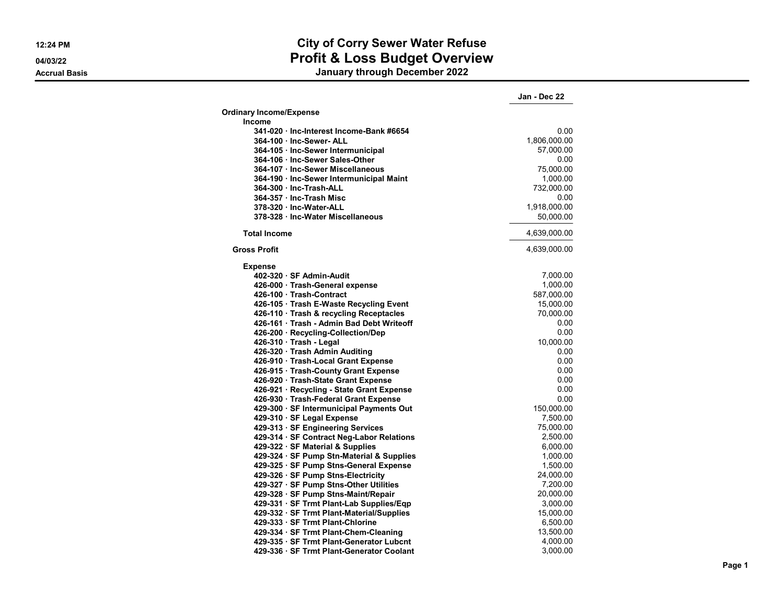## **12:24 PM City of Corry Sewer Water Refuse 04/03/22 Profit & Loss Budget Overview**

**Accrual Basis January through December 2022**

|                                           | Jan - Dec 22 |
|-------------------------------------------|--------------|
| <b>Ordinary Income/Expense</b>            |              |
| <b>Income</b>                             |              |
| 341-020 · Inc-Interest Income-Bank #6654  | 0.00         |
| 364-100 · Inc-Sewer- ALL                  | 1,806,000.00 |
| 364-105 · Inc-Sewer Intermunicipal        | 57,000.00    |
| 364-106 · Inc-Sewer Sales-Other           | 0.00         |
| 364-107 · Inc-Sewer Miscellaneous         | 75,000.00    |
| 364-190 · Inc-Sewer Intermunicipal Maint  | 1,000.00     |
| 364-300 · Inc-Trash-ALL                   | 732,000.00   |
| 364-357 Inc-Trash Misc                    | 0.00         |
| 378-320 Inc-Water-ALL                     | 1,918,000.00 |
| 378-328 · Inc-Water Miscellaneous         | 50,000.00    |
| <b>Total Income</b>                       | 4,639,000.00 |
|                                           |              |
| <b>Gross Profit</b>                       | 4,639,000.00 |
| <b>Expense</b>                            |              |
| 402-320 · SF Admin-Audit                  | 7,000.00     |
| 426-000 · Trash-General expense           | 1,000.00     |
| 426-100 Trash-Contract                    | 587,000.00   |
| 426-105 · Trash E-Waste Recycling Event   | 15,000.00    |
| 426-110 · Trash & recycling Receptacles   | 70,000.00    |
| 426-161 · Trash - Admin Bad Debt Writeoff | 0.00         |
| 426-200 · Recycling-Collection/Dep        | 0.00         |
| 426-310 · Trash - Legal                   | 10,000.00    |
| 426-320 · Trash Admin Auditing            | 0.00         |
| 426-910 · Trash-Local Grant Expense       | 0.00         |
| 426-915 · Trash-County Grant Expense      | 0.00         |
| 426-920 · Trash-State Grant Expense       | 0.00         |
| 426-921 · Recycling - State Grant Expense | 0.00         |
| 426-930 · Trash-Federal Grant Expense     | 0.00         |
| 429-300 · SF Intermunicipal Payments Out  | 150,000.00   |
| 429-310 · SF Legal Expense                | 7,500.00     |
| 429-313 · SF Engineering Services         | 75,000.00    |
| 429-314 · SF Contract Neg-Labor Relations | 2,500.00     |
| 429-322 · SF Material & Supplies          | 6,000.00     |
| 429-324 · SF Pump Stn-Material & Supplies | 1,000.00     |
| 429-325 · SF Pump Stns-General Expense    | 1,500.00     |
| 429-326 · SF Pump Stns-Electricity        | 24,000.00    |
| 429-327 · SF Pump Stns-Other Utilities    | 7,200.00     |
|                                           | 20,000.00    |
| 429-328 · SF Pump Stns-Maint/Repair       |              |
| 429-331 · SF Trmt Plant-Lab Supplies/Eqp  | 3,000.00     |
| 429-332 · SF Trmt Plant-Material/Supplies | 15,000.00    |
| 429-333 · SF Trmt Plant-Chlorine          | 6,500.00     |
| 429-334 · SF Trmt Plant-Chem-Cleaning     | 13,500.00    |
| 429-335 · SF Trmt Plant-Generator Lubcnt  | 4,000.00     |
| 429-336 · SF Trmt Plant-Generator Coolant | 3,000.00     |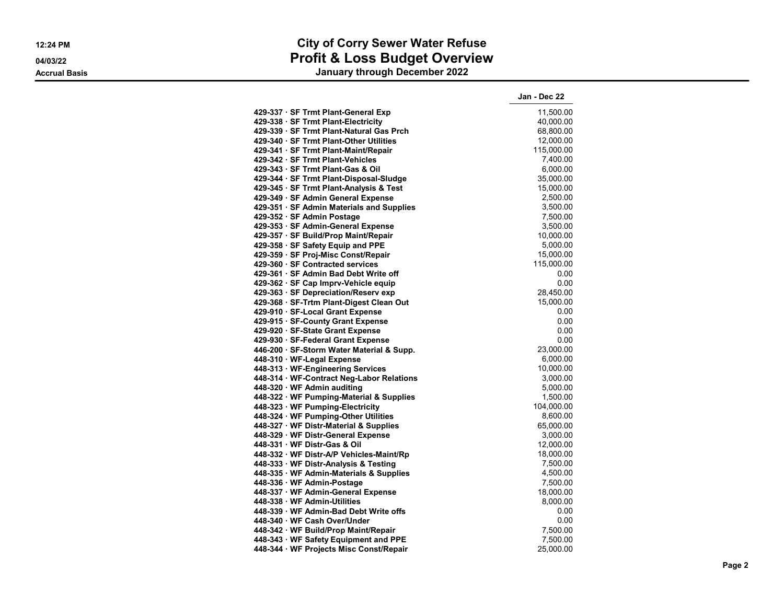## **12:24 PM City of Corry Sewer Water Refuse 04/03/22 Profit & Loss Budget Overview**

**Accrual Basis January through December 2022**

|                                           | Jan - Dec 22 |
|-------------------------------------------|--------------|
| 429-337 · SF Trmt Plant-General Exp       | 11,500.00    |
| 429-338 · SF Trmt Plant-Electricity       | 40,000.00    |
| 429-339 · SF Trmt Plant-Natural Gas Prch  | 68,800.00    |
| 429-340 · SF Trmt Plant-Other Utilities   | 12,000.00    |
| 429-341 · SF Trmt Plant-Maint/Repair      | 115,000.00   |
| 429-342 · SF Trmt Plant-Vehicles          | 7,400.00     |
| 429-343 · SF Trmt Plant-Gas & Oil         | 6,000.00     |
| 429-344 · SF Trmt Plant-Disposal-Sludge   | 35,000.00    |
| 429-345 · SF Trmt Plant-Analysis & Test   | 15.000.00    |
| 429-349 · SF Admin General Expense        | 2,500.00     |
| 429-351 · SF Admin Materials and Supplies | 3,500.00     |
| 429-352 · SF Admin Postage                | 7,500.00     |
| 429-353 · SF Admin-General Expense        | 3,500.00     |
| 429-357 · SF Build/Prop Maint/Repair      | 10,000.00    |
| 429-358 · SF Safety Equip and PPE         | 5,000.00     |
| 429-359 · SF Proj-Misc Const/Repair       | 15,000.00    |
| 429-360 · SF Contracted services          | 115,000.00   |
| 429-361 · SF Admin Bad Debt Write off     | 0.00         |
| 429-362 · SF Cap Imprv-Vehicle equip      | 0.00         |
| 429-363 · SF Depreciation/Reserv exp      | 28,450.00    |
| 429-368 · SF-Trtm Plant-Digest Clean Out  | 15,000.00    |
| 429-910 · SF-Local Grant Expense          | 0.00         |
| 429-915 · SF-County Grant Expense         | 0.00         |
| 429-920 · SF-State Grant Expense          | 0.00         |
| 429-930 · SF-Federal Grant Expense        | 0.00         |
| 446-200 · SF-Storm Water Material & Supp. | 23,000.00    |
| 448-310 · WF-Legal Expense                | 6,000.00     |
| 448-313 · WF-Engineering Services         | 10,000.00    |
| 448-314 · WF-Contract Neg-Labor Relations | 3,000.00     |
| 448-320 · WF Admin auditing               | 5,000.00     |
| 448-322 · WF Pumping-Material & Supplies  | 1,500.00     |
| 448-323 · WF Pumping-Electricity          | 104,000.00   |
| 448-324 · WF Pumping-Other Utilities      | 8,600.00     |
| 448-327 WF Distr-Material & Supplies      | 65,000.00    |
| 448-329 · WF Distr-General Expense        | 3,000.00     |
| 448-331 · WF Distr-Gas & Oil              | 12,000.00    |
| 448-332 · WF Distr-A/P Vehicles-Maint/Rp  | 18,000.00    |
| 448-333 · WF Distr-Analysis & Testing     | 7,500.00     |
| 448-335 WF Admin-Materials & Supplies     | 4,500.00     |
| 448-336 · WF Admin-Postage                | 7,500.00     |
| 448-337 · WF Admin-General Expense        | 18,000.00    |
| 448-338 WF Admin-Utilities                | 8,000.00     |
| 448-339 WF Admin-Bad Debt Write offs      | 0.00         |
| 448-340 · WF Cash Over/Under              | 0.00         |
| 448-342 · WF Build/Prop Maint/Repair      | 7,500.00     |
| 448-343 · WF Safety Equipment and PPE     | 7,500.00     |
| 448-344 · WF Projects Misc Const/Repair   | 25,000.00    |